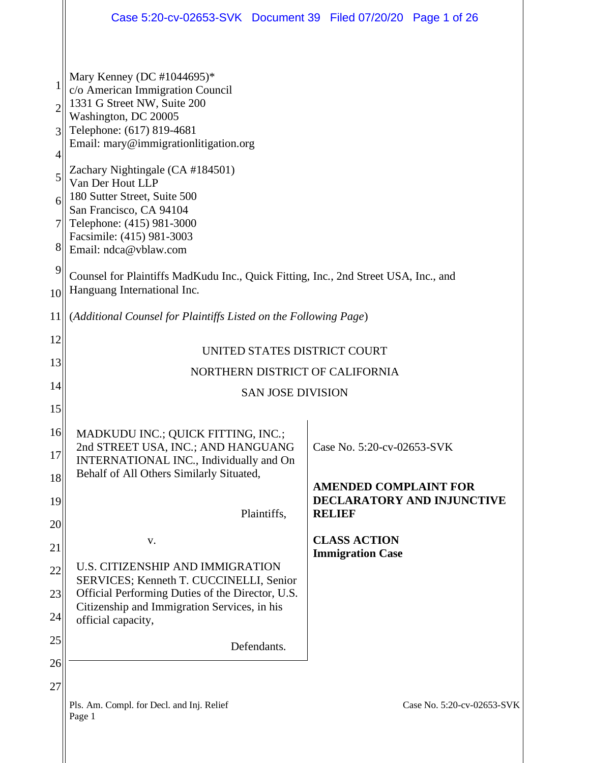|                                 | Case 5:20-cv-02653-SVK Document 39 Filed 07/20/20 Page 1 of 26                                                                                                                                                                                                                                                                                                                                    |                                             |  |  |
|---------------------------------|---------------------------------------------------------------------------------------------------------------------------------------------------------------------------------------------------------------------------------------------------------------------------------------------------------------------------------------------------------------------------------------------------|---------------------------------------------|--|--|
| っ<br>3<br>4<br>5<br>6<br>7<br>8 | Mary Kenney (DC #1044695)*<br>c/o American Immigration Council<br>1331 G Street NW, Suite 200<br>Washington, DC 20005<br>Telephone: (617) 819-4681<br>Email: mary@immigrationlitigation.org<br>Zachary Nightingale (CA #184501)<br>Van Der Hout LLP<br>180 Sutter Street, Suite 500<br>San Francisco, CA 94104<br>Telephone: (415) 981-3000<br>Facsimile: (415) 981-3003<br>Email: ndca@vblaw.com |                                             |  |  |
| 9<br>10                         | Counsel for Plaintiffs MadKudu Inc., Quick Fitting, Inc., 2nd Street USA, Inc., and<br>Hanguang International Inc.                                                                                                                                                                                                                                                                                |                                             |  |  |
| 11                              | (Additional Counsel for Plaintiffs Listed on the Following Page)                                                                                                                                                                                                                                                                                                                                  |                                             |  |  |
| 12                              | UNITED STATES DISTRICT COURT                                                                                                                                                                                                                                                                                                                                                                      |                                             |  |  |
| 13                              | NORTHERN DISTRICT OF CALIFORNIA                                                                                                                                                                                                                                                                                                                                                                   |                                             |  |  |
| 14                              | <b>SAN JOSE DIVISION</b>                                                                                                                                                                                                                                                                                                                                                                          |                                             |  |  |
| 15                              |                                                                                                                                                                                                                                                                                                                                                                                                   |                                             |  |  |
| 16                              | MADKUDU INC.; QUICK FITTING, INC.;                                                                                                                                                                                                                                                                                                                                                                |                                             |  |  |
| 17                              | 2nd STREET USA, INC.; AND HANGUANG<br>INTERNATIONAL INC., Individually and On                                                                                                                                                                                                                                                                                                                     | Case No. 5:20-cv-02653-SVK                  |  |  |
| 18                              | Behalf of All Others Similarly Situated,                                                                                                                                                                                                                                                                                                                                                          | <b>AMENDED COMPLAINT FOR</b>                |  |  |
| 19                              | Plaintiffs,                                                                                                                                                                                                                                                                                                                                                                                       | DECLARATORY AND INJUNCTIVE<br><b>RELIEF</b> |  |  |
| 20                              | V.                                                                                                                                                                                                                                                                                                                                                                                                | <b>CLASS ACTION</b>                         |  |  |
| 21                              | U.S. CITIZENSHIP AND IMMIGRATION                                                                                                                                                                                                                                                                                                                                                                  | <b>Immigration Case</b>                     |  |  |
| 22                              | SERVICES; Kenneth T. CUCCINELLI, Senior                                                                                                                                                                                                                                                                                                                                                           |                                             |  |  |
| 23                              | Official Performing Duties of the Director, U.S.<br>Citizenship and Immigration Services, in his                                                                                                                                                                                                                                                                                                  |                                             |  |  |
| 24                              | official capacity,                                                                                                                                                                                                                                                                                                                                                                                |                                             |  |  |
| 25                              | Defendants.                                                                                                                                                                                                                                                                                                                                                                                       |                                             |  |  |
| 26                              |                                                                                                                                                                                                                                                                                                                                                                                                   |                                             |  |  |
| 27                              | Pls. Am. Compl. for Decl. and Inj. Relief<br>Page 1                                                                                                                                                                                                                                                                                                                                               | Case No. 5:20-cv-02653-SVK                  |  |  |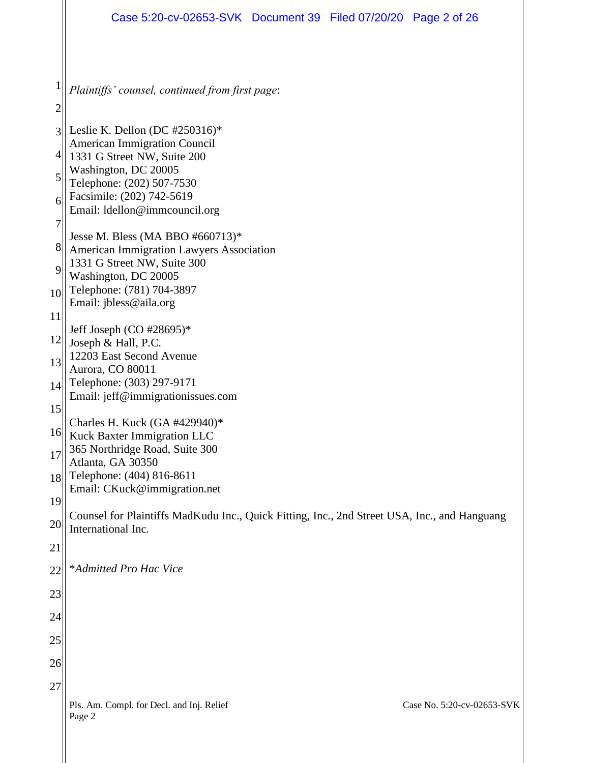|                | Case 5:20-cv-02653-SVK Document 39 Filed 07/20/20 Page 2 of 26                                                     |  |  |  |  |  |
|----------------|--------------------------------------------------------------------------------------------------------------------|--|--|--|--|--|
|                |                                                                                                                    |  |  |  |  |  |
|                | Plaintiffs' counsel, continued from first page:                                                                    |  |  |  |  |  |
| $\overline{c}$ |                                                                                                                    |  |  |  |  |  |
| 3              | Leslie K. Dellon (DC #250316)*<br><b>American Immigration Council</b>                                              |  |  |  |  |  |
| 4              | 1331 G Street NW, Suite 200<br>Washington, DC 20005                                                                |  |  |  |  |  |
| 5              | Telephone: (202) 507-7530<br>Facsimile: (202) 742-5619                                                             |  |  |  |  |  |
| 6              | Email: ldellon@immcouncil.org                                                                                      |  |  |  |  |  |
| 7              | Jesse M. Bless (MA BBO #660713)*                                                                                   |  |  |  |  |  |
| 8<br>9         | American Immigration Lawyers Association<br>1331 G Street NW, Suite 300                                            |  |  |  |  |  |
| 10             | Washington, DC 20005<br>Telephone: (781) 704-3897                                                                  |  |  |  |  |  |
| 11             | Email: jbless@aila.org                                                                                             |  |  |  |  |  |
| 12             | Jeff Joseph (CO #28695)*<br>Joseph & Hall, P.C.                                                                    |  |  |  |  |  |
| 13             | 12203 East Second Avenue                                                                                           |  |  |  |  |  |
| 14             | Aurora, CO 80011<br>Telephone: (303) 297-9171                                                                      |  |  |  |  |  |
| 15             | Email: jeff@immigrationissues.com                                                                                  |  |  |  |  |  |
| 16             | Charles H. Kuck (GA #429940)*<br>Kuck Baxter Immigration LLC                                                       |  |  |  |  |  |
| 17             | 365 Northridge Road, Suite 300<br>Atlanta, GA 30350                                                                |  |  |  |  |  |
| 18             | Telephone: (404) 816-8611                                                                                          |  |  |  |  |  |
| 19             | Email: CKuck@immigration.net                                                                                       |  |  |  |  |  |
| 20             | Counsel for Plaintiffs MadKudu Inc., Quick Fitting, Inc., 2nd Street USA, Inc., and Hanguang<br>International Inc. |  |  |  |  |  |
| 21             |                                                                                                                    |  |  |  |  |  |
| 22             | *Admitted Pro Hac Vice                                                                                             |  |  |  |  |  |
| 23             |                                                                                                                    |  |  |  |  |  |
| 24             |                                                                                                                    |  |  |  |  |  |
| 25             |                                                                                                                    |  |  |  |  |  |
| 26             |                                                                                                                    |  |  |  |  |  |
| 27             |                                                                                                                    |  |  |  |  |  |
|                | Case No. 5:20-cv-02653-SVK<br>Pls. Am. Compl. for Decl. and Inj. Relief<br>Page 2                                  |  |  |  |  |  |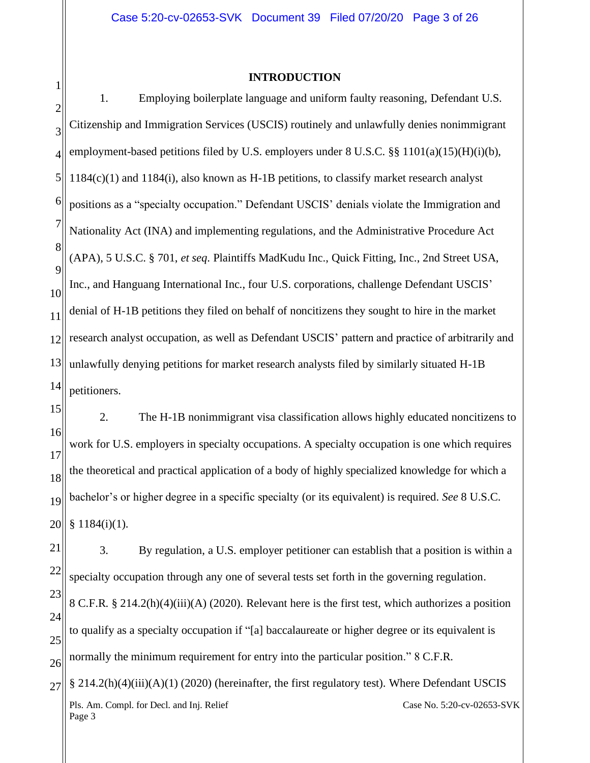#### **INTRODUCTION**

1

2 3 4 5 6 7 8 9 10 11 12 13 14 1. Employing boilerplate language and uniform faulty reasoning, Defendant U.S. Citizenship and Immigration Services (USCIS) routinely and unlawfully denies nonimmigrant employment-based petitions filed by U.S. employers under  $8 \text{ U.S. C. }$  §§  $1101(a)(15)(H)(i)(b)$ , 1184(c)(1) and 1184(i), also known as H-1B petitions, to classify market research analyst positions as a "specialty occupation." Defendant USCIS' denials violate the Immigration and Nationality Act (INA) and implementing regulations, and the Administrative Procedure Act (APA), 5 U.S.C. § 701, *et seq*. Plaintiffs MadKudu Inc., Quick Fitting, Inc., 2nd Street USA, Inc., and Hanguang International Inc., four U.S. corporations, challenge Defendant USCIS' denial of H-1B petitions they filed on behalf of noncitizens they sought to hire in the market research analyst occupation, as well as Defendant USCIS' pattern and practice of arbitrarily and unlawfully denying petitions for market research analysts filed by similarly situated H-1B petitioners.

15 16 17 18 19 20 2. The H-1B nonimmigrant visa classification allows highly educated noncitizens to work for U.S. employers in specialty occupations. A specialty occupation is one which requires the theoretical and practical application of a body of highly specialized knowledge for which a bachelor's or higher degree in a specific specialty (or its equivalent) is required. *See* 8 U.S.C. § 1184(i)(1).

21 22 23 24 25 26 3. By regulation, a U.S. employer petitioner can establish that a position is within a specialty occupation through any one of several tests set forth in the governing regulation. 8 C.F.R. § 214.2(h)(4)(iii)(A) (2020). Relevant here is the first test, which authorizes a position to qualify as a specialty occupation if "[a] baccalaureate or higher degree or its equivalent is normally the minimum requirement for entry into the particular position." 8 C.F.R.

Pls. Am. Compl. for Decl. and Inj. Relief Page 3 Case No. 5:20-cv-02653-SVK 27 § 214.2(h)(4)(iii)(A)(1) (2020) (hereinafter, the first regulatory test). Where Defendant USCIS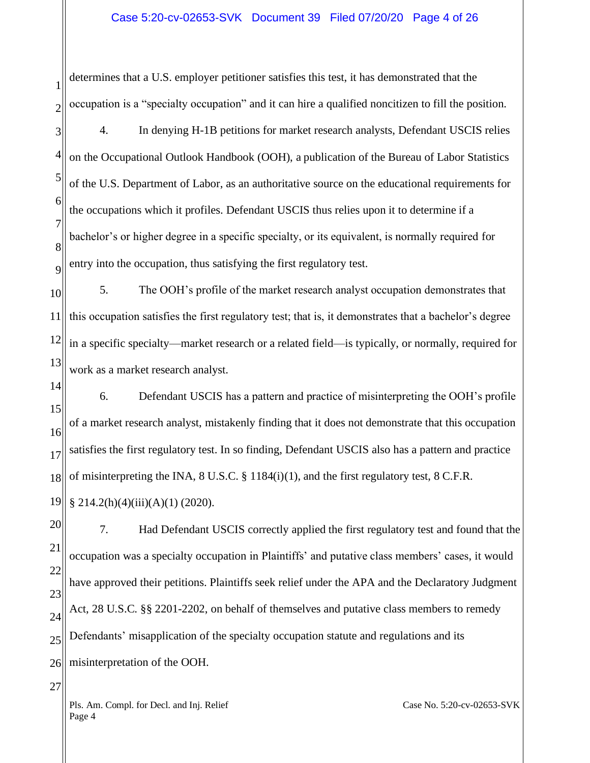#### Case 5:20-cv-02653-SVK Document 39 Filed 07/20/20 Page 4 of 26

determines that a U.S. employer petitioner satisfies this test, it has demonstrated that the occupation is a "specialty occupation" and it can hire a qualified noncitizen to fill the position.

3 4 5 6 7 8  $\overline{Q}$ 4. In denying H-1B petitions for market research analysts, Defendant USCIS relies on the Occupational Outlook Handbook (OOH), a publication of the Bureau of Labor Statistics of the U.S. Department of Labor, as an authoritative source on the educational requirements for the occupations which it profiles. Defendant USCIS thus relies upon it to determine if a bachelor's or higher degree in a specific specialty, or its equivalent, is normally required for entry into the occupation, thus satisfying the first regulatory test.

10 11 12 13 5. The OOH's profile of the market research analyst occupation demonstrates that this occupation satisfies the first regulatory test; that is, it demonstrates that a bachelor's degree in a specific specialty—market research or a related field—is typically, or normally, required for work as a market research analyst.

14 15 16 17 18 6. Defendant USCIS has a pattern and practice of misinterpreting the OOH's profile of a market research analyst, mistakenly finding that it does not demonstrate that this occupation satisfies the first regulatory test. In so finding, Defendant USCIS also has a pattern and practice of misinterpreting the INA, 8 U.S.C. § 1184(i)(1), and the first regulatory test, 8 C.F.R.

19 § 214.2(h)(4)(iii)(A)(1) (2020).

1

2

20 21 22 23 24 25 26 7. Had Defendant USCIS correctly applied the first regulatory test and found that the occupation was a specialty occupation in Plaintiffs' and putative class members' cases, it would have approved their petitions. Plaintiffs seek relief under the APA and the Declaratory Judgment Act, 28 U.S.C. §§ 2201-2202, on behalf of themselves and putative class members to remedy Defendants' misapplication of the specialty occupation statute and regulations and its misinterpretation of the OOH.

Pls. Am. Compl. for Decl. and Inj. Relief Page 4

27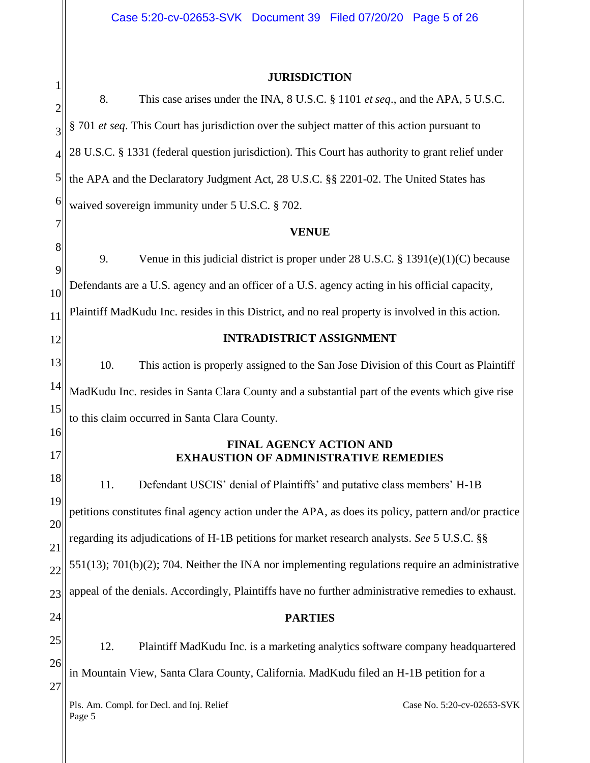# **JURISDICTION**

| 1              |                                                                                                      |  |  |
|----------------|------------------------------------------------------------------------------------------------------|--|--|
| $\overline{c}$ | 8.<br>This case arises under the INA, 8 U.S.C. § 1101 et seq., and the APA, 5 U.S.C.                 |  |  |
| 3              | § 701 et seq. This Court has jurisdiction over the subject matter of this action pursuant to         |  |  |
| $\overline{4}$ | 28 U.S.C. § 1331 (federal question jurisdiction). This Court has authority to grant relief under     |  |  |
| 5              | the APA and the Declaratory Judgment Act, 28 U.S.C. §§ 2201-02. The United States has                |  |  |
| 6              | waived sovereign immunity under 5 U.S.C. § 702.                                                      |  |  |
| 7              | <b>VENUE</b>                                                                                         |  |  |
| 8<br>9         | 9.<br>Venue in this judicial district is proper under 28 U.S.C. $\S 1391(e)(1)(C)$ because           |  |  |
| 10             | Defendants are a U.S. agency and an officer of a U.S. agency acting in his official capacity,        |  |  |
| 11             | Plaintiff MadKudu Inc. resides in this District, and no real property is involved in this action.    |  |  |
| 12             | <b>INTRADISTRICT ASSIGNMENT</b>                                                                      |  |  |
| 13             | 10.<br>This action is properly assigned to the San Jose Division of this Court as Plaintiff          |  |  |
| 14             | MadKudu Inc. resides in Santa Clara County and a substantial part of the events which give rise      |  |  |
| 15             | to this claim occurred in Santa Clara County.                                                        |  |  |
| 16<br>17       | <b>FINAL AGENCY ACTION AND</b><br><b>EXHAUSTION OF ADMINISTRATIVE REMEDIES</b>                       |  |  |
| 18             | 11.<br>Defendant USCIS' denial of Plaintiffs' and putative class members' H-1B                       |  |  |
| 19             | petitions constitutes final agency action under the APA, as does its policy, pattern and/or practice |  |  |
| 20             | regarding its adjudications of H-1B petitions for market research analysts. See 5 U.S.C. §§          |  |  |
| 21<br>22       | 551(13); 701(b)(2); 704. Neither the INA nor implementing regulations require an administrative      |  |  |
| 23             | appeal of the denials. Accordingly, Plaintiffs have no further administrative remedies to exhaust.   |  |  |
| 24             | <b>PARTIES</b>                                                                                       |  |  |
| 25             | 12.<br>Plaintiff MadKudu Inc. is a marketing analytics software company headquartered                |  |  |
| 26             | in Mountain View, Santa Clara County, California. MadKudu filed an H-1B petition for a               |  |  |
| 27             |                                                                                                      |  |  |
|                | Case No. 5:20-cv-02653-SVK<br>Pls. Am. Compl. for Decl. and Inj. Relief<br>Page 5                    |  |  |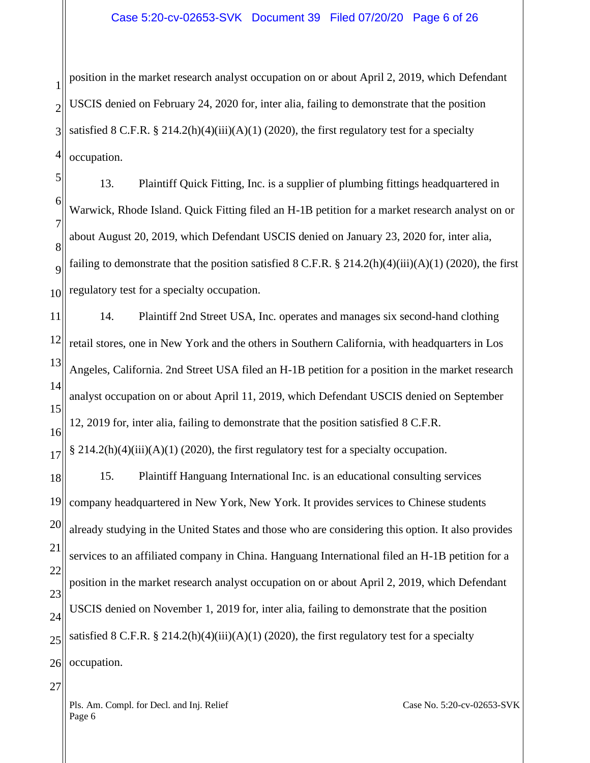1 2 3 4 position in the market research analyst occupation on or about April 2, 2019, which Defendant USCIS denied on February 24, 2020 for, inter alia, failing to demonstrate that the position satisfied 8 C.F.R. § 214.2(h)(4)(iii)(A)(1) (2020), the first regulatory test for a specialty occupation.

5 6 7 8  $\overline{Q}$ 10 13. Plaintiff Quick Fitting, Inc. is a supplier of plumbing fittings headquartered in Warwick, Rhode Island. Quick Fitting filed an H-1B petition for a market research analyst on or about August 20, 2019, which Defendant USCIS denied on January 23, 2020 for, inter alia, failing to demonstrate that the position satisfied  $8 \text{ C.F.R.}$   $\S 214.2(h)(4)(iii)(A)(1)(2020)$ , the first regulatory test for a specialty occupation.

11 12 13 14 15 16 14. Plaintiff 2nd Street USA, Inc. operates and manages six second-hand clothing retail stores, one in New York and the others in Southern California, with headquarters in Los Angeles, California. 2nd Street USA filed an H-1B petition for a position in the market research analyst occupation on or about April 11, 2019, which Defendant USCIS denied on September 12, 2019 for, inter alia, failing to demonstrate that the position satisfied 8 C.F.R.

17 § 214.2(h)(4)(iii)(A)(1) (2020), the first regulatory test for a specialty occupation.

18 19 20 21 22 23 24 25 26 15. Plaintiff Hanguang International Inc. is an educational consulting services company headquartered in New York, New York. It provides services to Chinese students already studying in the United States and those who are considering this option. It also provides services to an affiliated company in China. Hanguang International filed an H-1B petition for a position in the market research analyst occupation on or about April 2, 2019, which Defendant USCIS denied on November 1, 2019 for, inter alia, failing to demonstrate that the position satisfied 8 C.F.R. § 214.2(h)(4)(iii)(A)(1) (2020), the first regulatory test for a specialty occupation.

27

Pls. Am. Compl. for Decl. and Inj. Relief Page 6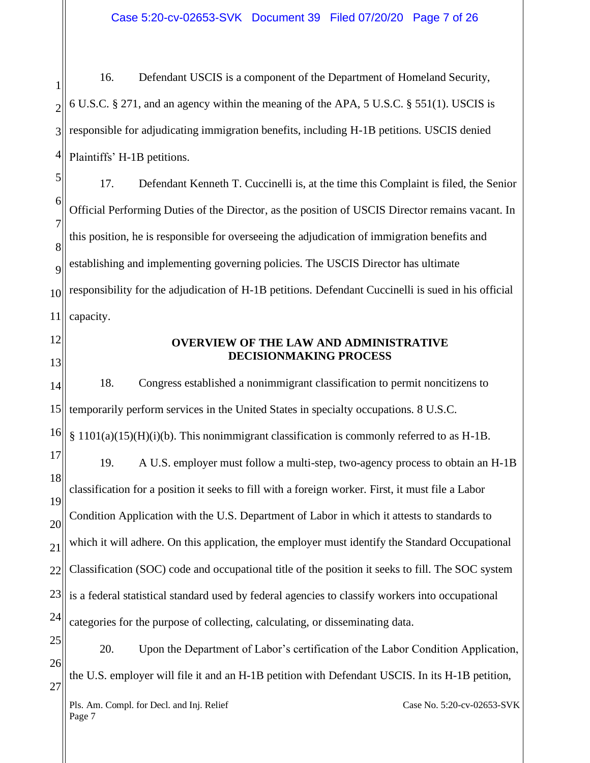1 2 3 4 16. Defendant USCIS is a component of the Department of Homeland Security, 6 U.S.C. § 271, and an agency within the meaning of the APA, 5 U.S.C. § 551(1). USCIS is responsible for adjudicating immigration benefits, including H-1B petitions. USCIS denied Plaintiffs' H-1B petitions.

5 6 7 8  $\overline{Q}$ 10 11 17. Defendant Kenneth T. Cuccinelli is, at the time this Complaint is filed, the Senior Official Performing Duties of the Director, as the position of USCIS Director remains vacant. In this position, he is responsible for overseeing the adjudication of immigration benefits and establishing and implementing governing policies. The USCIS Director has ultimate responsibility for the adjudication of H-1B petitions. Defendant Cuccinelli is sued in his official capacity.

- 12
- 13

### **OVERVIEW OF THE LAW AND ADMINISTRATIVE DECISIONMAKING PROCESS**

14 15 16 17 18 19 20 21 22 23 24 25 26 18. Congress established a nonimmigrant classification to permit noncitizens to temporarily perform services in the United States in specialty occupations. 8 U.S.C.  $\S 1101(a)(15)(H)(i)$ . This nonimmigrant classification is commonly referred to as H-1B. 19. A U.S. employer must follow a multi-step, two-agency process to obtain an H-1B classification for a position it seeks to fill with a foreign worker. First, it must file a Labor Condition Application with the U.S. Department of Labor in which it attests to standards to which it will adhere. On this application, the employer must identify the Standard Occupational Classification (SOC) code and occupational title of the position it seeks to fill. The SOC system is a federal statistical standard used by federal agencies to classify workers into occupational categories for the purpose of collecting, calculating, or disseminating data. 20. Upon the Department of Labor's certification of the Labor Condition Application, the U.S. employer will file it and an H-1B petition with Defendant USCIS. In its H-1B petition,

Pls. Am. Compl. for Decl. and Inj. Relief 27

Case No. 5:20-cv-02653-SVK

Page 7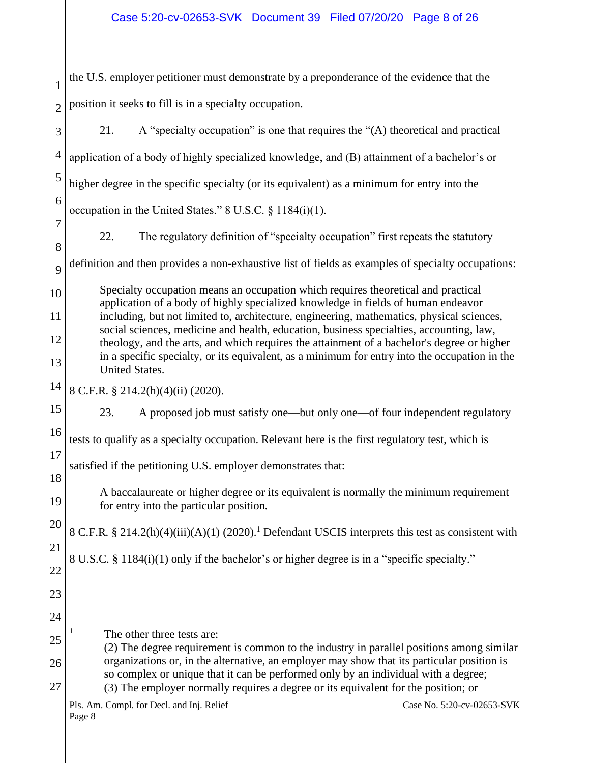1 2 the U.S. employer petitioner must demonstrate by a preponderance of the evidence that the position it seeks to fill is in a specialty occupation.

Pls. Am. Compl. for Decl. and Inj. Relief Page 8 Case No. 5:20-cv-02653-SVK 3 4 5 6 7 8  $\overline{Q}$ 10 11 12 13 14 15 16 17 18 19 20 21 22 23 24 25 26 27 21. A "specialty occupation" is one that requires the "(A) theoretical and practical application of a body of highly specialized knowledge, and (B) attainment of a bachelor's or higher degree in the specific specialty (or its equivalent) as a minimum for entry into the occupation in the United States." 8 U.S.C. § 1184(i)(1). 22. The regulatory definition of "specialty occupation" first repeats the statutory definition and then provides a non-exhaustive list of fields as examples of specialty occupations: Specialty occupation means an occupation which requires theoretical and practical application of a body of highly specialized knowledge in fields of human endeavor including, but not limited to, architecture, engineering, mathematics, physical sciences, social sciences, medicine and health, education, business specialties, accounting, law, theology, and the arts, and which requires the attainment of a bachelor's degree or higher in a specific specialty, or its equivalent, as a minimum for entry into the occupation in the United States. 8 C.F.R. § 214.2(h)(4)(ii) (2020). 23. A proposed job must satisfy one—but only one—of four independent regulatory tests to qualify as a specialty occupation. Relevant here is the first regulatory test, which is satisfied if the petitioning U.S. employer demonstrates that: A baccalaureate or higher degree or its equivalent is normally the minimum requirement for entry into the particular position. 8 C.F.R. § 214.2(h)(4)(iii)(A)(1) (2020). <sup>1</sup> Defendant USCIS interprets this test as consistent with 8 U.S.C. § 1184(i)(1) only if the bachelor's or higher degree is in a "specific specialty." The other three tests are: (2) The degree requirement is common to the industry in parallel positions among similar organizations or, in the alternative, an employer may show that its particular position is so complex or unique that it can be performed only by an individual with a degree; (3) The employer normally requires a degree or its equivalent for the position; or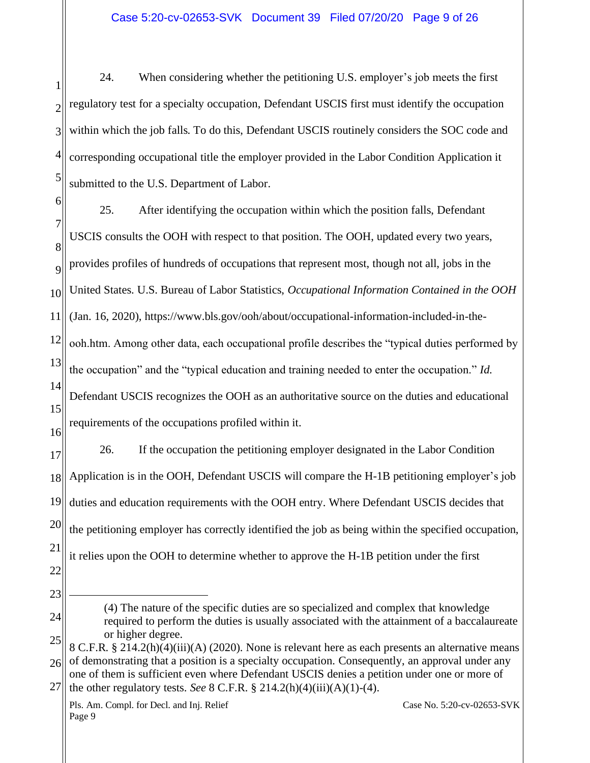1 2 3 4 5 24. When considering whether the petitioning U.S. employer's job meets the first regulatory test for a specialty occupation, Defendant USCIS first must identify the occupation within which the job falls. To do this, Defendant USCIS routinely considers the SOC code and corresponding occupational title the employer provided in the Labor Condition Application it submitted to the U.S. Department of Labor.

6 7 8  $\overline{Q}$ 10 11 12 13 14 15 16 25. After identifying the occupation within which the position falls, Defendant USCIS consults the OOH with respect to that position. The OOH, updated every two years, provides profiles of hundreds of occupations that represent most, though not all, jobs in the United States. U.S. Bureau of Labor Statistics, *Occupational Information Contained in the OOH* (Jan. 16, 2020), https://www.bls.gov/ooh/about/occupational-information-included-in-theooh.htm. Among other data, each occupational profile describes the "typical duties performed by the occupation" and the "typical education and training needed to enter the occupation." *Id*. Defendant USCIS recognizes the OOH as an authoritative source on the duties and educational requirements of the occupations profiled within it.

17 18 19 20 21 22 26. If the occupation the petitioning employer designated in the Labor Condition Application is in the OOH, Defendant USCIS will compare the H-1B petitioning employer's job duties and education requirements with the OOH entry. Where Defendant USCIS decides that the petitioning employer has correctly identified the job as being within the specified occupation, it relies upon the OOH to determine whether to approve the H-1B petition under the first

23

24

<sup>(4)</sup> The nature of the specific duties are so specialized and complex that knowledge required to perform the duties is usually associated with the attainment of a baccalaureate or higher degree.

<sup>25</sup> 26 8 C.F.R. § 214.2(h)(4)(iii)(A) (2020). None is relevant here as each presents an alternative means of demonstrating that a position is a specialty occupation. Consequently, an approval under any

<sup>27</sup> one of them is sufficient even where Defendant USCIS denies a petition under one or more of the other regulatory tests. *See* 8 C.F.R. § 214.2(h)(4)(iii)(A)(1)-(4).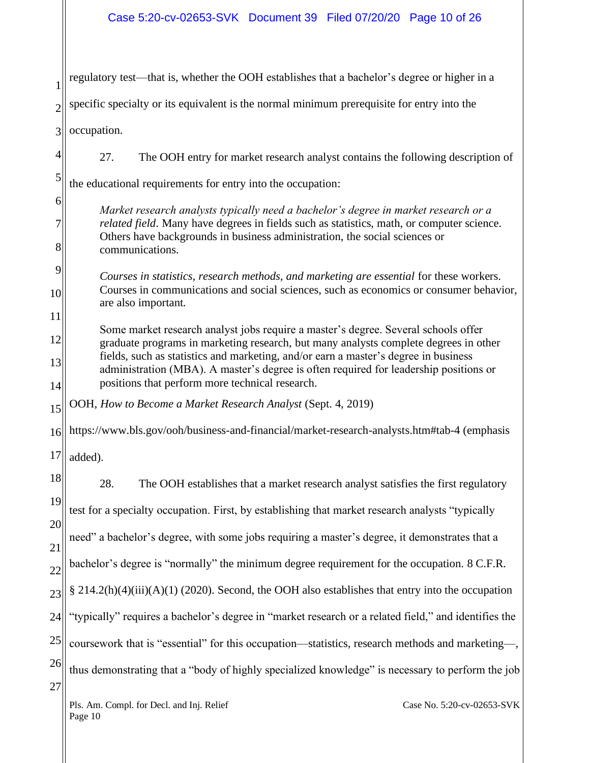| 1              | regulatory test—that is, whether the OOH establishes that a bachelor's degree or higher in a                                                                                                                                                                                      |  |  |
|----------------|-----------------------------------------------------------------------------------------------------------------------------------------------------------------------------------------------------------------------------------------------------------------------------------|--|--|
| $\overline{2}$ | specific specialty or its equivalent is the normal minimum prerequisite for entry into the                                                                                                                                                                                        |  |  |
| 3              | occupation.                                                                                                                                                                                                                                                                       |  |  |
| $\overline{4}$ | 27.<br>The OOH entry for market research analyst contains the following description of                                                                                                                                                                                            |  |  |
| 5              | the educational requirements for entry into the occupation:                                                                                                                                                                                                                       |  |  |
| 6              | Market research analysts typically need a bachelor's degree in market research or a<br>related field. Many have degrees in fields such as statistics, math, or computer science.<br>Others have backgrounds in business administration, the social sciences or<br>communications. |  |  |
| 7              |                                                                                                                                                                                                                                                                                   |  |  |
| 8              |                                                                                                                                                                                                                                                                                   |  |  |
| 9              | Courses in statistics, research methods, and marketing are essential for these workers.<br>Courses in communications and social sciences, such as economics or consumer behavior,<br>are also important.                                                                          |  |  |
| 10             |                                                                                                                                                                                                                                                                                   |  |  |
| 11             | Some market research analyst jobs require a master's degree. Several schools offer<br>graduate programs in marketing research, but many analysts complete degrees in other<br>fields, such as statistics and marketing, and/or earn a master's degree in business                 |  |  |
| 12<br>13       |                                                                                                                                                                                                                                                                                   |  |  |
| 14             | administration (MBA). A master's degree is often required for leadership positions or<br>positions that perform more technical research.                                                                                                                                          |  |  |
| 15             | OOH, How to Become a Market Research Analyst (Sept. 4, 2019)                                                                                                                                                                                                                      |  |  |
| 16             | https://www.bls.gov/ooh/business-and-financial/market-research-analysts.htm#tab-4 (emphasis                                                                                                                                                                                       |  |  |
| 17             | added).                                                                                                                                                                                                                                                                           |  |  |
| 18             | 28.<br>The OOH establishes that a market research analyst satisfies the first regulatory                                                                                                                                                                                          |  |  |
| 19             | test for a specialty occupation. First, by establishing that market research analysts "typically                                                                                                                                                                                  |  |  |
| 20             | need" a bachelor's degree, with some jobs requiring a master's degree, it demonstrates that a                                                                                                                                                                                     |  |  |
| 21<br>22       | bachelor's degree is "normally" the minimum degree requirement for the occupation. 8 C.F.R.                                                                                                                                                                                       |  |  |
| 23             | § 214.2(h)(4)(iii)(A)(1) (2020). Second, the OOH also establishes that entry into the occupation                                                                                                                                                                                  |  |  |
| 24             | "typically" requires a bachelor's degree in "market research or a related field," and identifies the                                                                                                                                                                              |  |  |
| 25             | coursework that is "essential" for this occupation—statistics, research methods and marketing—,                                                                                                                                                                                   |  |  |
| 26             | thus demonstrating that a "body of highly specialized knowledge" is necessary to perform the job                                                                                                                                                                                  |  |  |
| 27             |                                                                                                                                                                                                                                                                                   |  |  |
|                | Case No. 5:20-cv-02653-SVK<br>Pls. Am. Compl. for Decl. and Inj. Relief<br>Page 10                                                                                                                                                                                                |  |  |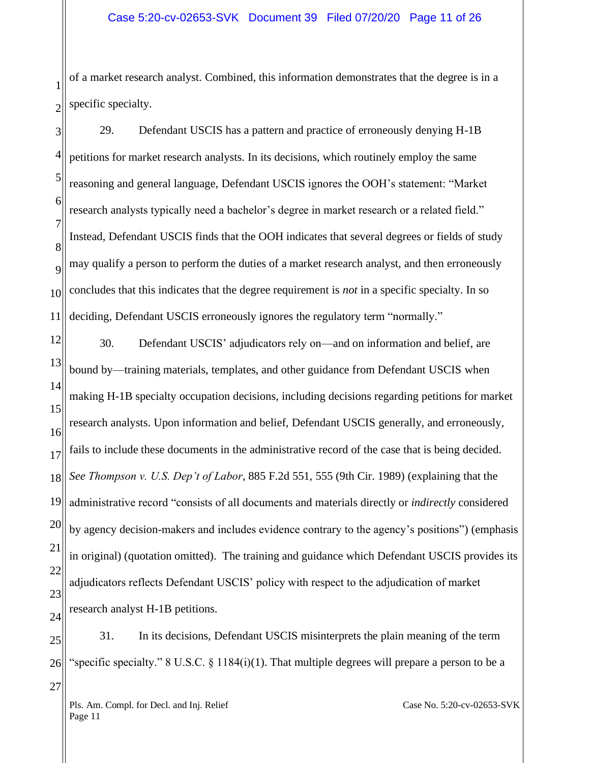1 2 of a market research analyst. Combined, this information demonstrates that the degree is in a specific specialty.

3 4 5 6 7 8  $\overline{Q}$ 10 11 29. Defendant USCIS has a pattern and practice of erroneously denying H-1B petitions for market research analysts. In its decisions, which routinely employ the same reasoning and general language, Defendant USCIS ignores the OOH's statement: "Market research analysts typically need a bachelor's degree in market research or a related field." Instead, Defendant USCIS finds that the OOH indicates that several degrees or fields of study may qualify a person to perform the duties of a market research analyst, and then erroneously concludes that this indicates that the degree requirement is *not* in a specific specialty. In so deciding, Defendant USCIS erroneously ignores the regulatory term "normally."

12 13 14 15 16 17 18 19 20 21 22 23 24 30. Defendant USCIS' adjudicators rely on—and on information and belief, are bound by—training materials, templates, and other guidance from Defendant USCIS when making H-1B specialty occupation decisions, including decisions regarding petitions for market research analysts. Upon information and belief, Defendant USCIS generally, and erroneously, fails to include these documents in the administrative record of the case that is being decided. *See Thompson v. U.S. Dep't of Labor*, 885 F.2d 551, 555 (9th Cir. 1989) (explaining that the administrative record "consists of all documents and materials directly or *indirectly* considered by agency decision-makers and includes evidence contrary to the agency's positions") (emphasis in original) (quotation omitted). The training and guidance which Defendant USCIS provides its adjudicators reflects Defendant USCIS' policy with respect to the adjudication of market research analyst H-1B petitions.

25 26 27 31. In its decisions, Defendant USCIS misinterprets the plain meaning of the term "specific specialty." 8 U.S.C.  $\S$  1184(i)(1). That multiple degrees will prepare a person to be a

Pls. Am. Compl. for Decl. and Inj. Relief Page 11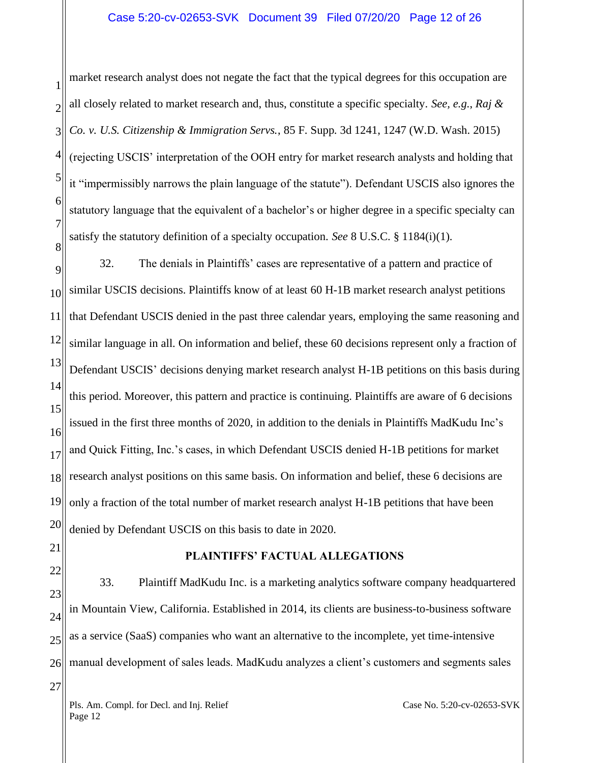1 2 3 4 5 6 7 8 market research analyst does not negate the fact that the typical degrees for this occupation are all closely related to market research and, thus, constitute a specific specialty. *See, e.g.*, *Raj & Co. v. U.S. Citizenship & Immigration Servs.*, 85 F. Supp. 3d 1241, 1247 (W.D. Wash. 2015) (rejecting USCIS' interpretation of the OOH entry for market research analysts and holding that it "impermissibly narrows the plain language of the statute"). Defendant USCIS also ignores the statutory language that the equivalent of a bachelor's or higher degree in a specific specialty can satisfy the statutory definition of a specialty occupation. *See* 8 U.S.C. § 1184(i)(1).

9 10 11 12 13 14 15 16 17 18 19 20 32. The denials in Plaintiffs' cases are representative of a pattern and practice of similar USCIS decisions. Plaintiffs know of at least 60 H-1B market research analyst petitions that Defendant USCIS denied in the past three calendar years, employing the same reasoning and similar language in all. On information and belief, these 60 decisions represent only a fraction of Defendant USCIS' decisions denying market research analyst H-1B petitions on this basis during this period. Moreover, this pattern and practice is continuing. Plaintiffs are aware of 6 decisions issued in the first three months of 2020, in addition to the denials in Plaintiffs MadKudu Inc's and Quick Fitting, Inc.'s cases, in which Defendant USCIS denied H-1B petitions for market research analyst positions on this same basis. On information and belief, these 6 decisions are only a fraction of the total number of market research analyst H-1B petitions that have been denied by Defendant USCIS on this basis to date in 2020.

- 21
- 22

27

### **PLAINTIFFS' FACTUAL ALLEGATIONS**

23 24 25 26 33. Plaintiff MadKudu Inc. is a marketing analytics software company headquartered in Mountain View, California. Established in 2014, its clients are business-to-business software as a service (SaaS) companies who want an alternative to the incomplete, yet time-intensive manual development of sales leads. MadKudu analyzes a client's customers and segments sales

Pls. Am. Compl. for Decl. and Inj. Relief Page 12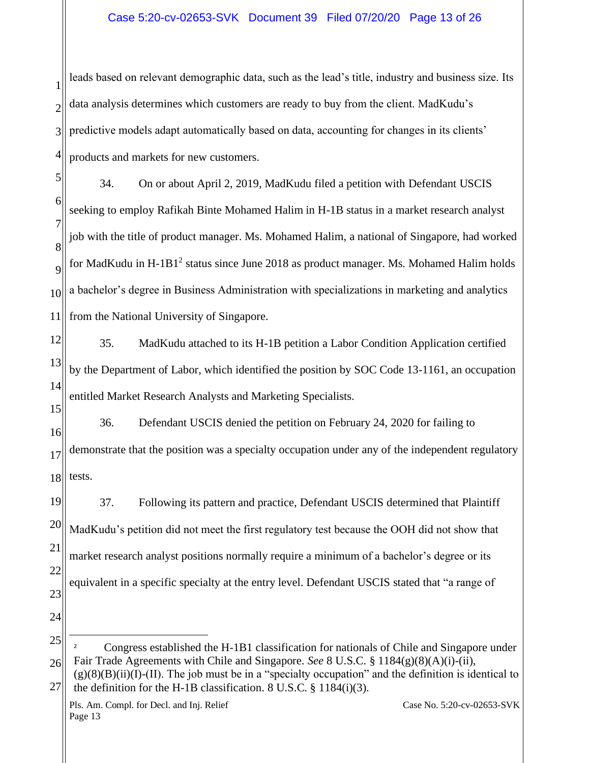## Case 5:20-cv-02653-SVK Document 39 Filed 07/20/20 Page 13 of 26

1 2 3 4 leads based on relevant demographic data, such as the lead's title, industry and business size. Its data analysis determines which customers are ready to buy from the client. MadKudu's predictive models adapt automatically based on data, accounting for changes in its clients' products and markets for new customers.

5 6 7 8 9 10 11 34. On or about April 2, 2019, MadKudu filed a petition with Defendant USCIS seeking to employ Rafikah Binte Mohamed Halim in H-1B status in a market research analyst job with the title of product manager. Ms. Mohamed Halim, a national of Singapore, had worked for MadKudu in  $H$ -1B1<sup>2</sup> status since June 2018 as product manager. Ms. Mohamed Halim holds a bachelor's degree in Business Administration with specializations in marketing and analytics from the National University of Singapore.

- 12 13 14 15 35. MadKudu attached to its H-1B petition a Labor Condition Application certified by the Department of Labor, which identified the position by SOC Code 13-1161, an occupation entitled Market Research Analysts and Marketing Specialists.
- 16 17 18 36. Defendant USCIS denied the petition on February 24, 2020 for failing to demonstrate that the position was a specialty occupation under any of the independent regulatory tests.

19 20 21 22 23 37. Following its pattern and practice, Defendant USCIS determined that Plaintiff MadKudu's petition did not meet the first regulatory test because the OOH did not show that market research analyst positions normally require a minimum of a bachelor's degree or its equivalent in a specific specialty at the entry level. Defendant USCIS stated that "a range of

25 26 <sup>2</sup> Congress established the H-1B1 classification for nationals of Chile and Singapore under Fair Trade Agreements with Chile and Singapore. *See* 8 U.S.C. § 1184(g)(8)(A)(i)-(ii),

24

<sup>27</sup>  $(g)(8)(B)(ii)(I)$ -(II). The job must be in a "specialty occupation" and the definition is identical to the definition for the H-1B classification. 8 U.S.C. § 1184(i)(3).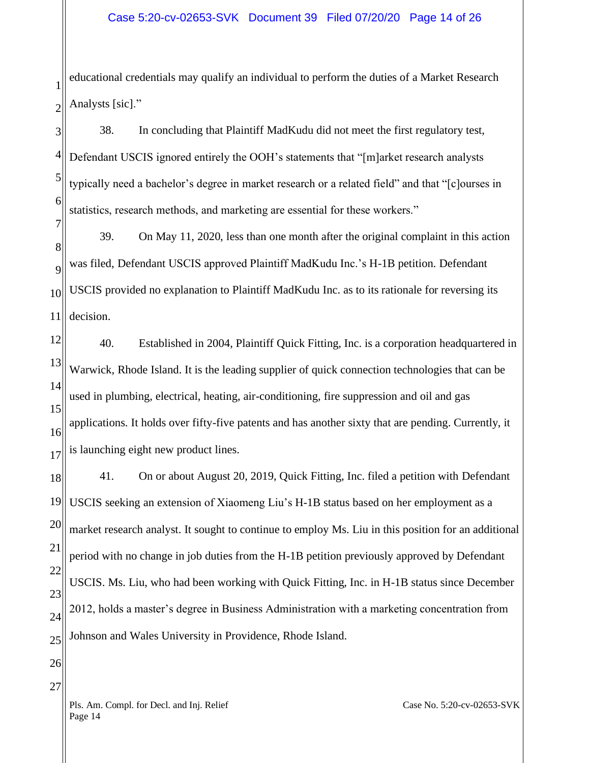1 2 educational credentials may qualify an individual to perform the duties of a Market Research Analysts [sic]."

3 4 5 6 7 38. In concluding that Plaintiff MadKudu did not meet the first regulatory test, Defendant USCIS ignored entirely the OOH's statements that "[m]arket research analysts typically need a bachelor's degree in market research or a related field" and that "[c]ourses in statistics, research methods, and marketing are essential for these workers."

8  $\overline{Q}$ 10 11 39. On May 11, 2020, less than one month after the original complaint in this action was filed, Defendant USCIS approved Plaintiff MadKudu Inc.'s H-1B petition. Defendant USCIS provided no explanation to Plaintiff MadKudu Inc. as to its rationale for reversing its decision.

12 13 14 15 16 17 40. Established in 2004, Plaintiff Quick Fitting, Inc. is a corporation headquartered in Warwick, Rhode Island. It is the leading supplier of quick connection technologies that can be used in plumbing, electrical, heating, air-conditioning, fire suppression and oil and gas applications. It holds over fifty-five patents and has another sixty that are pending. Currently, it is launching eight new product lines.

18 19 20 21 22 23 24 25 41. On or about August 20, 2019, Quick Fitting, Inc. filed a petition with Defendant USCIS seeking an extension of Xiaomeng Liu's H-1B status based on her employment as a market research analyst. It sought to continue to employ Ms. Liu in this position for an additional period with no change in job duties from the H-1B petition previously approved by Defendant USCIS. Ms. Liu, who had been working with Quick Fitting, Inc. in H-1B status since December 2012, holds a master's degree in Business Administration with a marketing concentration from Johnson and Wales University in Providence, Rhode Island.

26

27

Pls. Am. Compl. for Decl. and Inj. Relief Page 14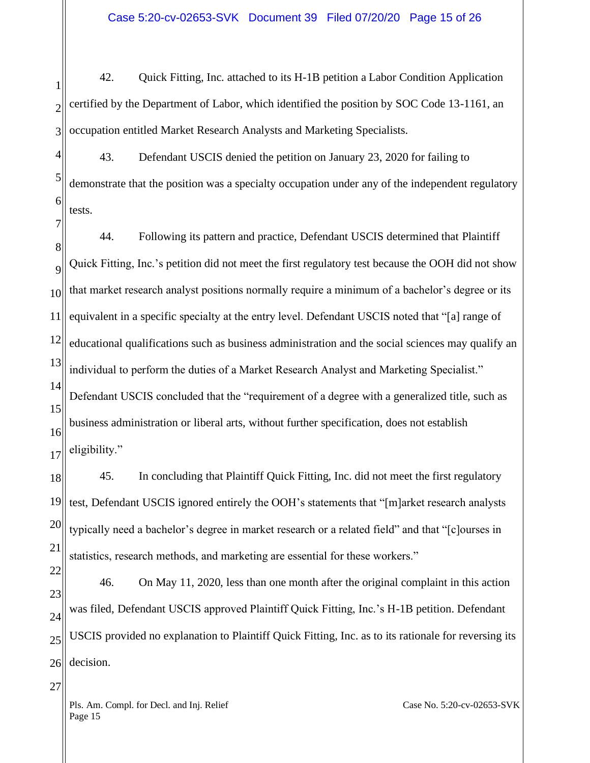1 2 3 42. Quick Fitting, Inc. attached to its H-1B petition a Labor Condition Application certified by the Department of Labor, which identified the position by SOC Code 13-1161, an occupation entitled Market Research Analysts and Marketing Specialists.

4 5 6 43. Defendant USCIS denied the petition on January 23, 2020 for failing to demonstrate that the position was a specialty occupation under any of the independent regulatory tests.

8  $\overline{Q}$ 10 11 12 13 14 15 16 17 44. Following its pattern and practice, Defendant USCIS determined that Plaintiff Quick Fitting, Inc.'s petition did not meet the first regulatory test because the OOH did not show that market research analyst positions normally require a minimum of a bachelor's degree or its equivalent in a specific specialty at the entry level. Defendant USCIS noted that "[a] range of educational qualifications such as business administration and the social sciences may qualify an individual to perform the duties of a Market Research Analyst and Marketing Specialist." Defendant USCIS concluded that the "requirement of a degree with a generalized title, such as business administration or liberal arts, without further specification, does not establish eligibility."

18 19 20 21 45. In concluding that Plaintiff Quick Fitting, Inc. did not meet the first regulatory test, Defendant USCIS ignored entirely the OOH's statements that "[m]arket research analysts typically need a bachelor's degree in market research or a related field" and that "[c]ourses in statistics, research methods, and marketing are essential for these workers."

22 23 24 25 26 46. On May 11, 2020, less than one month after the original complaint in this action was filed, Defendant USCIS approved Plaintiff Quick Fitting, Inc.'s H-1B petition. Defendant USCIS provided no explanation to Plaintiff Quick Fitting, Inc. as to its rationale for reversing its decision.

Pls. Am. Compl. for Decl. and Inj. Relief Page 15

7

27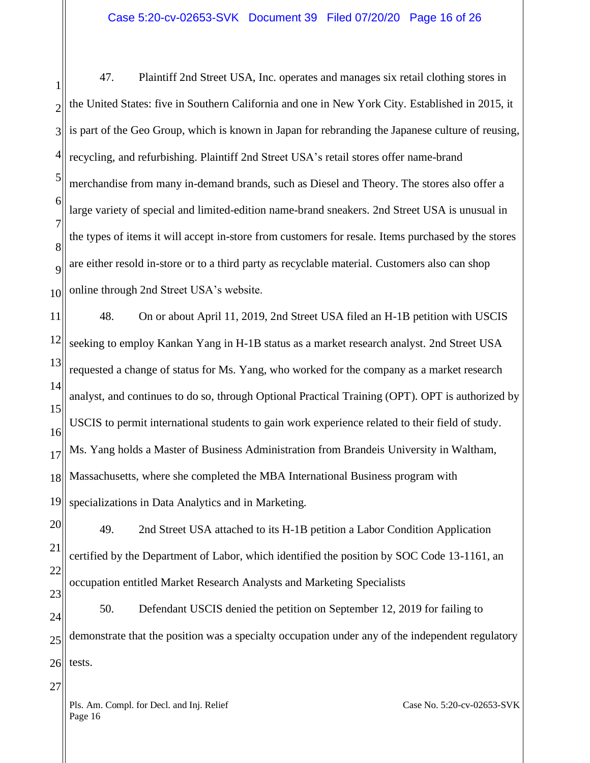1 2 3 4 5 6 7 8  $\overline{Q}$ 10 47. Plaintiff 2nd Street USA, Inc. operates and manages six retail clothing stores in the United States: five in Southern California and one in New York City. Established in 2015, it is part of the Geo Group, which is known in Japan for rebranding the Japanese culture of reusing, recycling, and refurbishing. Plaintiff 2nd Street USA's retail stores offer name-brand merchandise from many in-demand brands, such as Diesel and Theory. The stores also offer a large variety of special and limited-edition name-brand sneakers. 2nd Street USA is unusual in the types of items it will accept in-store from customers for resale. Items purchased by the stores are either resold in-store or to a third party as recyclable material. Customers also can shop online through 2nd Street USA's website.

11 12 13 14 15 16 17 18 19 48. On or about April 11, 2019, 2nd Street USA filed an H-1B petition with USCIS seeking to employ Kankan Yang in H-1B status as a market research analyst. 2nd Street USA requested a change of status for Ms. Yang, who worked for the company as a market research analyst, and continues to do so, through Optional Practical Training (OPT). OPT is authorized by USCIS to permit international students to gain work experience related to their field of study. Ms. Yang holds a Master of Business Administration from Brandeis University in Waltham, Massachusetts, where she completed the MBA International Business program with specializations in Data Analytics and in Marketing.

20 21 22 23 49. 2nd Street USA attached to its H-1B petition a Labor Condition Application certified by the Department of Labor, which identified the position by SOC Code 13-1161, an occupation entitled Market Research Analysts and Marketing Specialists

24 25 26 50. Defendant USCIS denied the petition on September 12, 2019 for failing to demonstrate that the position was a specialty occupation under any of the independent regulatory tests.

Pls. Am. Compl. for Decl. and Inj. Relief Page 16

27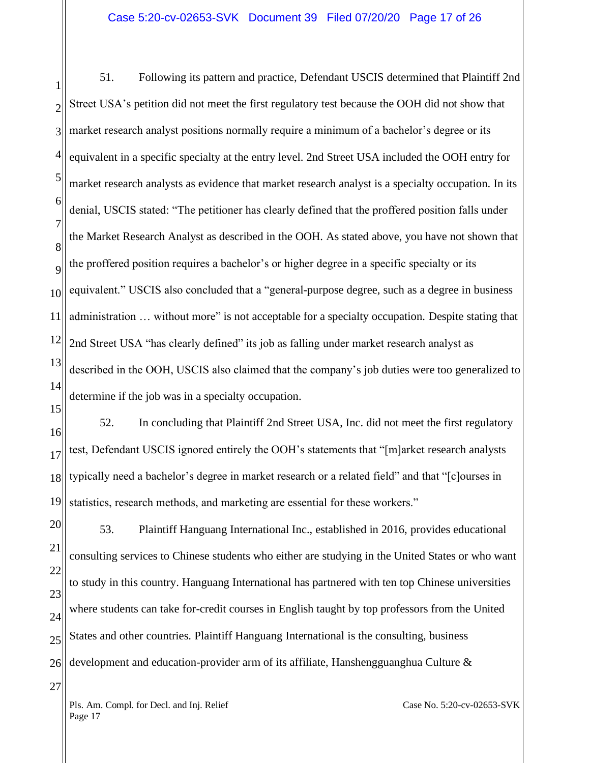1 2 3 4 5 6 7 8  $\overline{Q}$ 10 11 12 13 14 51. Following its pattern and practice, Defendant USCIS determined that Plaintiff 2nd Street USA's petition did not meet the first regulatory test because the OOH did not show that market research analyst positions normally require a minimum of a bachelor's degree or its equivalent in a specific specialty at the entry level. 2nd Street USA included the OOH entry for market research analysts as evidence that market research analyst is a specialty occupation. In its denial, USCIS stated: "The petitioner has clearly defined that the proffered position falls under the Market Research Analyst as described in the OOH. As stated above, you have not shown that the proffered position requires a bachelor's or higher degree in a specific specialty or its equivalent." USCIS also concluded that a "general-purpose degree, such as a degree in business administration … without more" is not acceptable for a specialty occupation. Despite stating that 2nd Street USA "has clearly defined" its job as falling under market research analyst as described in the OOH, USCIS also claimed that the company's job duties were too generalized to determine if the job was in a specialty occupation.

16 17 18 19 52. In concluding that Plaintiff 2nd Street USA, Inc. did not meet the first regulatory test, Defendant USCIS ignored entirely the OOH's statements that "[m]arket research analysts typically need a bachelor's degree in market research or a related field" and that "[c]ourses in statistics, research methods, and marketing are essential for these workers."

20 21 22 23 24 25 26 53. Plaintiff Hanguang International Inc., established in 2016, provides educational consulting services to Chinese students who either are studying in the United States or who want to study in this country. Hanguang International has partnered with ten top Chinese universities where students can take for-credit courses in English taught by top professors from the United States and other countries. Plaintiff Hanguang International is the consulting, business development and education-provider arm of its affiliate, Hanshengguanghua Culture &

Pls. Am. Compl. for Decl. and Inj. Relief Page 17

15

27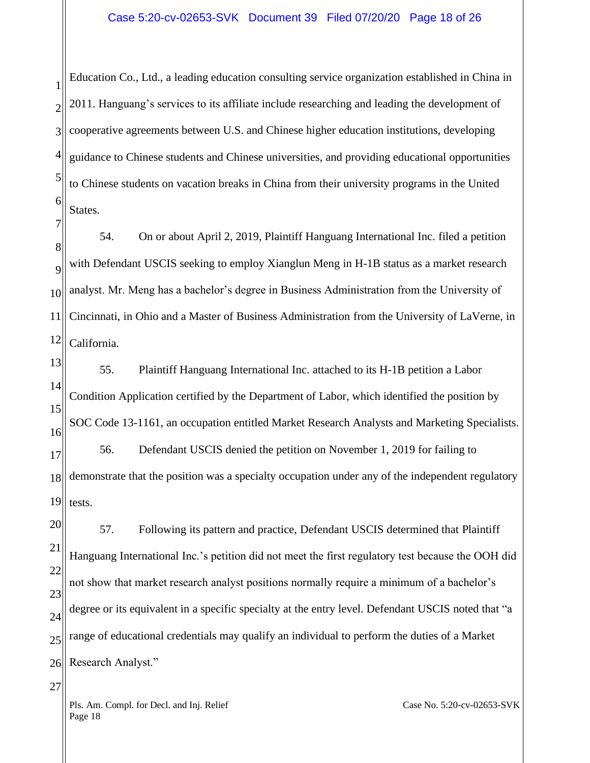1 2 3 4 5 6 Education Co., Ltd., a leading education consulting service organization established in China in 2011. Hanguang's services to its affiliate include researching and leading the development of cooperative agreements between U.S. and Chinese higher education institutions, developing guidance to Chinese students and Chinese universities, and providing educational opportunities to Chinese students on vacation breaks in China from their university programs in the United States.

8  $\overline{Q}$ 10 11 12 54. On or about April 2, 2019, Plaintiff Hanguang International Inc. filed a petition with Defendant USCIS seeking to employ Xianglun Meng in H-1B status as a market research analyst. Mr. Meng has a bachelor's degree in Business Administration from the University of Cincinnati, in Ohio and a Master of Business Administration from the University of LaVerne, in California.

13 14 15 16 17 18 19 55. Plaintiff Hanguang International Inc. attached to its H-1B petition a Labor Condition Application certified by the Department of Labor, which identified the position by SOC Code 13-1161, an occupation entitled Market Research Analysts and Marketing Specialists. 56. Defendant USCIS denied the petition on November 1, 2019 for failing to demonstrate that the position was a specialty occupation under any of the independent regulatory tests.

20 21 22 23 24 25 26 57. Following its pattern and practice, Defendant USCIS determined that Plaintiff Hanguang International Inc.'s petition did not meet the first regulatory test because the OOH did not show that market research analyst positions normally require a minimum of a bachelor's degree or its equivalent in a specific specialty at the entry level. Defendant USCIS noted that "a range of educational credentials may qualify an individual to perform the duties of a Market Research Analyst."

Pls. Am. Compl. for Decl. and Inj. Relief Page 18

7

27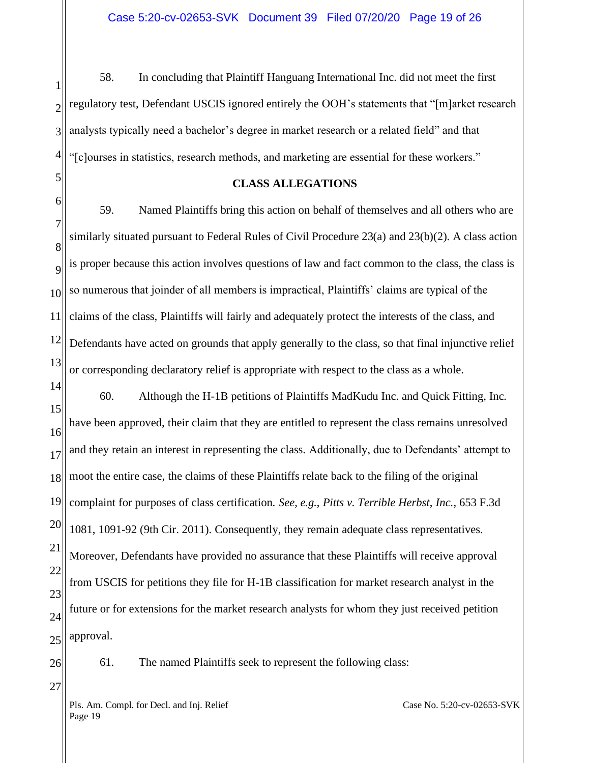1 2 3 4 58. In concluding that Plaintiff Hanguang International Inc. did not meet the first regulatory test, Defendant USCIS ignored entirely the OOH's statements that "[m]arket research analysts typically need a bachelor's degree in market research or a related field" and that "[c]ourses in statistics, research methods, and marketing are essential for these workers."

#### **CLASS ALLEGATIONS**

6 7 8  $\overline{Q}$ 10 11 12 13 59. Named Plaintiffs bring this action on behalf of themselves and all others who are similarly situated pursuant to Federal Rules of Civil Procedure 23(a) and 23(b)(2). A class action is proper because this action involves questions of law and fact common to the class, the class is so numerous that joinder of all members is impractical, Plaintiffs' claims are typical of the claims of the class, Plaintiffs will fairly and adequately protect the interests of the class, and Defendants have acted on grounds that apply generally to the class, so that final injunctive relief or corresponding declaratory relief is appropriate with respect to the class as a whole.

14 15 16 17 18 19 20 21 22 23 24 25 60. Although the H-1B petitions of Plaintiffs MadKudu Inc. and Quick Fitting, Inc. have been approved, their claim that they are entitled to represent the class remains unresolved and they retain an interest in representing the class. Additionally, due to Defendants' attempt to moot the entire case, the claims of these Plaintiffs relate back to the filing of the original complaint for purposes of class certification. *See*, *e.g.*, *Pitts v. Terrible Herbst*, *Inc.*, 653 F.3d 1081, 1091-92 (9th Cir. 2011). Consequently, they remain adequate class representatives. Moreover, Defendants have provided no assurance that these Plaintiffs will receive approval from USCIS for petitions they file for H-1B classification for market research analyst in the future or for extensions for the market research analysts for whom they just received petition approval.

26

27

5

61. The named Plaintiffs seek to represent the following class:

Pls. Am. Compl. for Decl. and Inj. Relief Page 19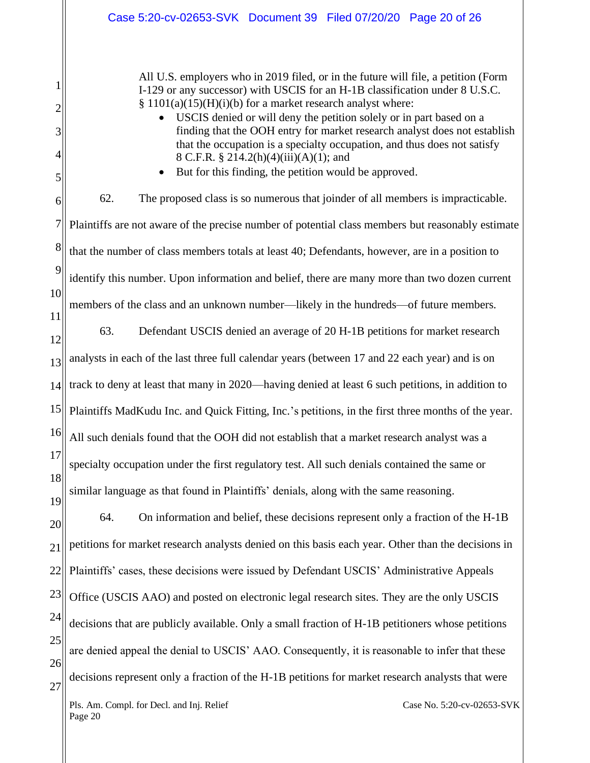|                                                 | Case 5:20-cv-02653-SVK Document 39 Filed 07/20/20 Page 20 of 26                                                                                                                                                                                                                                                                                                                                                                                                                                                                                                                     |  |  |  |  |
|-------------------------------------------------|-------------------------------------------------------------------------------------------------------------------------------------------------------------------------------------------------------------------------------------------------------------------------------------------------------------------------------------------------------------------------------------------------------------------------------------------------------------------------------------------------------------------------------------------------------------------------------------|--|--|--|--|
| 1<br>$\overline{2}$<br>3<br>$\overline{4}$<br>5 | All U.S. employers who in 2019 filed, or in the future will file, a petition (Form<br>I-129 or any successor) with USCIS for an H-1B classification under 8 U.S.C.<br>$§ 1101(a)(15)(H)(i)(b)$ for a market research analyst where:<br>USCIS denied or will deny the petition solely or in part based on a<br>finding that the OOH entry for market research analyst does not establish<br>that the occupation is a specialty occupation, and thus does not satisfy<br>8 C.F.R. § 214.2(h)(4)(iii)(A)(1); and<br>But for this finding, the petition would be approved.<br>$\bullet$ |  |  |  |  |
| 6                                               | 62.<br>The proposed class is so numerous that joinder of all members is impracticable.                                                                                                                                                                                                                                                                                                                                                                                                                                                                                              |  |  |  |  |
| $\sqrt{ }$                                      | Plaintiffs are not aware of the precise number of potential class members but reasonably estimate                                                                                                                                                                                                                                                                                                                                                                                                                                                                                   |  |  |  |  |
| 8                                               | that the number of class members totals at least 40; Defendants, however, are in a position to                                                                                                                                                                                                                                                                                                                                                                                                                                                                                      |  |  |  |  |
| 9                                               | identify this number. Upon information and belief, there are many more than two dozen current                                                                                                                                                                                                                                                                                                                                                                                                                                                                                       |  |  |  |  |
| 10<br>11                                        | members of the class and an unknown number—likely in the hundreds—of future members.                                                                                                                                                                                                                                                                                                                                                                                                                                                                                                |  |  |  |  |
| 12                                              | 63.<br>Defendant USCIS denied an average of 20 H-1B petitions for market research                                                                                                                                                                                                                                                                                                                                                                                                                                                                                                   |  |  |  |  |
| 13                                              | analysts in each of the last three full calendar years (between 17 and 22 each year) and is on                                                                                                                                                                                                                                                                                                                                                                                                                                                                                      |  |  |  |  |
| 14                                              | track to deny at least that many in 2020—having denied at least 6 such petitions, in addition to                                                                                                                                                                                                                                                                                                                                                                                                                                                                                    |  |  |  |  |
| 15                                              | Plaintiffs MadKudu Inc. and Quick Fitting, Inc.'s petitions, in the first three months of the year.                                                                                                                                                                                                                                                                                                                                                                                                                                                                                 |  |  |  |  |
| 16                                              | All such denials found that the OOH did not establish that a market research analyst was a                                                                                                                                                                                                                                                                                                                                                                                                                                                                                          |  |  |  |  |
| 17                                              | specialty occupation under the first regulatory test. All such denials contained the same or                                                                                                                                                                                                                                                                                                                                                                                                                                                                                        |  |  |  |  |
| 18<br>19                                        | similar language as that found in Plaintiffs' denials, along with the same reasoning.                                                                                                                                                                                                                                                                                                                                                                                                                                                                                               |  |  |  |  |
| 20                                              | 64.<br>On information and belief, these decisions represent only a fraction of the H-1B                                                                                                                                                                                                                                                                                                                                                                                                                                                                                             |  |  |  |  |
| 21                                              | petitions for market research analysts denied on this basis each year. Other than the decisions in                                                                                                                                                                                                                                                                                                                                                                                                                                                                                  |  |  |  |  |
| 22                                              | Plaintiffs' cases, these decisions were issued by Defendant USCIS' Administrative Appeals                                                                                                                                                                                                                                                                                                                                                                                                                                                                                           |  |  |  |  |
| 23                                              | Office (USCIS AAO) and posted on electronic legal research sites. They are the only USCIS                                                                                                                                                                                                                                                                                                                                                                                                                                                                                           |  |  |  |  |
| 24                                              | decisions that are publicly available. Only a small fraction of H-1B petitioners whose petitions                                                                                                                                                                                                                                                                                                                                                                                                                                                                                    |  |  |  |  |
| 25                                              | are denied appeal the denial to USCIS' AAO. Consequently, it is reasonable to infer that these                                                                                                                                                                                                                                                                                                                                                                                                                                                                                      |  |  |  |  |
| 26<br>27                                        | decisions represent only a fraction of the H-1B petitions for market research analysts that were                                                                                                                                                                                                                                                                                                                                                                                                                                                                                    |  |  |  |  |
|                                                 | Pls. Am. Compl. for Decl. and Inj. Relief<br>Case No. 5:20-cv-02653-SVK                                                                                                                                                                                                                                                                                                                                                                                                                                                                                                             |  |  |  |  |

Page 20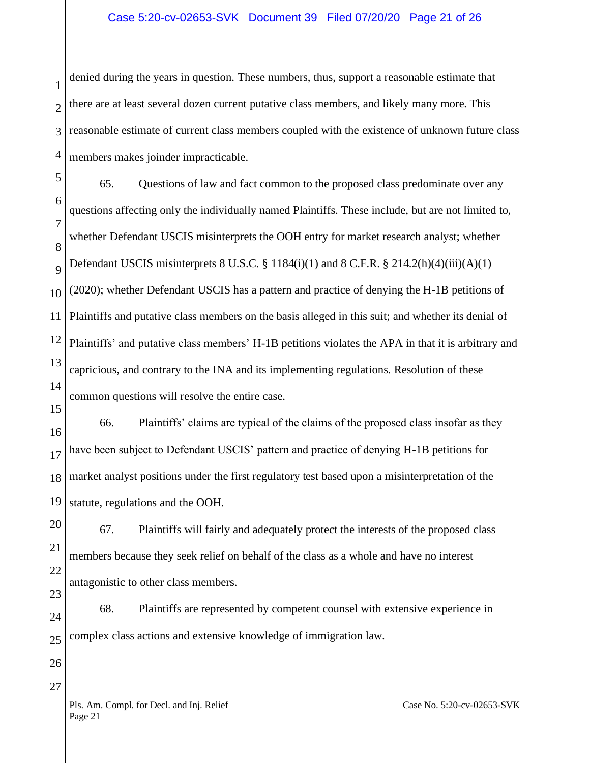#### Case 5:20-cv-02653-SVK Document 39 Filed 07/20/20 Page 21 of 26

1 2 3 4 denied during the years in question. These numbers, thus, support a reasonable estimate that there are at least several dozen current putative class members, and likely many more. This reasonable estimate of current class members coupled with the existence of unknown future class members makes joinder impracticable.

5 6 7 8  $\overline{Q}$ 10 11 12 13 14 65. Questions of law and fact common to the proposed class predominate over any questions affecting only the individually named Plaintiffs. These include, but are not limited to, whether Defendant USCIS misinterprets the OOH entry for market research analyst; whether Defendant USCIS misinterprets  $8 \text{ U.S.C.} \$  $1184(i)(1)$  and  $8 \text{ C.F.R.} \$  $214.2(h)(4)(iii)(A)(1)$ (2020); whether Defendant USCIS has a pattern and practice of denying the H-1B petitions of Plaintiffs and putative class members on the basis alleged in this suit; and whether its denial of Plaintiffs' and putative class members' H-1B petitions violates the APA in that it is arbitrary and capricious, and contrary to the INA and its implementing regulations. Resolution of these common questions will resolve the entire case.

16 17 18 19 66. Plaintiffs' claims are typical of the claims of the proposed class insofar as they have been subject to Defendant USCIS' pattern and practice of denying H-1B petitions for market analyst positions under the first regulatory test based upon a misinterpretation of the statute, regulations and the OOH.

20 21 22 67. Plaintiffs will fairly and adequately protect the interests of the proposed class members because they seek relief on behalf of the class as a whole and have no interest antagonistic to other class members.

24 25 68. Plaintiffs are represented by competent counsel with extensive experience in complex class actions and extensive knowledge of immigration law.

26

27

23

15

Pls. Am. Compl. for Decl. and Inj. Relief Page 21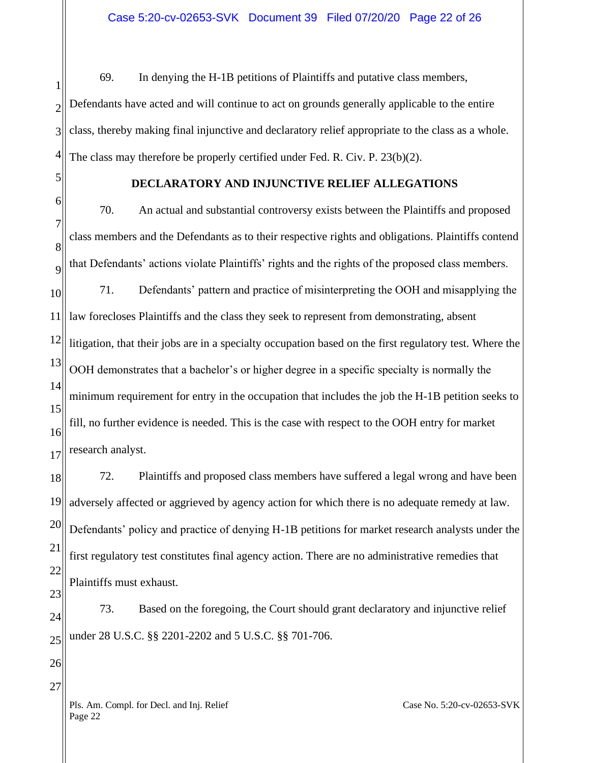1 2 3 4 69. In denying the H-1B petitions of Plaintiffs and putative class members, Defendants have acted and will continue to act on grounds generally applicable to the entire class, thereby making final injunctive and declaratory relief appropriate to the class as a whole. The class may therefore be properly certified under Fed. R. Civ. P. 23(b)(2).

5 6

### **DECLARATORY AND INJUNCTIVE RELIEF ALLEGATIONS**

7 8  $\overline{Q}$ 10 11 12 13 14 15 16 17 70. An actual and substantial controversy exists between the Plaintiffs and proposed class members and the Defendants as to their respective rights and obligations. Plaintiffs contend that Defendants' actions violate Plaintiffs' rights and the rights of the proposed class members. 71. Defendants' pattern and practice of misinterpreting the OOH and misapplying the law forecloses Plaintiffs and the class they seek to represent from demonstrating, absent litigation, that their jobs are in a specialty occupation based on the first regulatory test. Where the OOH demonstrates that a bachelor's or higher degree in a specific specialty is normally the minimum requirement for entry in the occupation that includes the job the H-1B petition seeks to fill, no further evidence is needed. This is the case with respect to the OOH entry for market research analyst.

18 19 20 21 22 72. Plaintiffs and proposed class members have suffered a legal wrong and have been adversely affected or aggrieved by agency action for which there is no adequate remedy at law. Defendants' policy and practice of denying H-1B petitions for market research analysts under the first regulatory test constitutes final agency action. There are no administrative remedies that Plaintiffs must exhaust.

24 25 73. Based on the foregoing, the Court should grant declaratory and injunctive relief under 28 U.S.C. §§ 2201-2202 and 5 U.S.C. §§ 701-706.

26

27

23

Pls. Am. Compl. for Decl. and Inj. Relief Page 22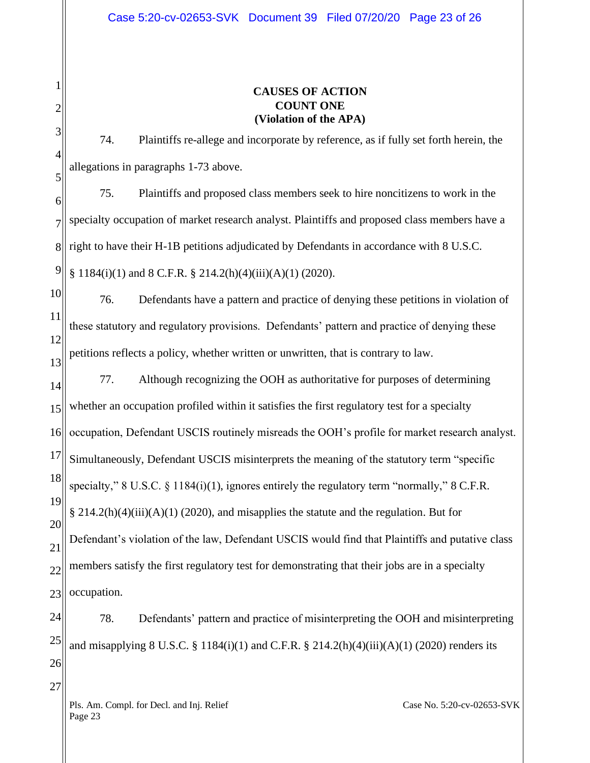# **CAUSES OF ACTION COUNT ONE (Violation of the APA)**

74. Plaintiffs re-allege and incorporate by reference, as if fully set forth herein, the allegations in paragraphs 1-73 above.

6 7 8 9 75. Plaintiffs and proposed class members seek to hire noncitizens to work in the specialty occupation of market research analyst. Plaintiffs and proposed class members have a right to have their H-1B petitions adjudicated by Defendants in accordance with 8 U.S.C. § 1184(i)(1) and 8 C.F.R. § 214.2(h)(4)(iii)(A)(1) (2020).

10 11 12 13 76. Defendants have a pattern and practice of denying these petitions in violation of these statutory and regulatory provisions. Defendants' pattern and practice of denying these petitions reflects a policy, whether written or unwritten, that is contrary to law.

14 15 16 17 18 19 20 21 22 23 77. Although recognizing the OOH as authoritative for purposes of determining whether an occupation profiled within it satisfies the first regulatory test for a specialty occupation, Defendant USCIS routinely misreads the OOH's profile for market research analyst. Simultaneously, Defendant USCIS misinterprets the meaning of the statutory term "specific specialty," 8 U.S.C.  $\S$  1184(i)(1), ignores entirely the regulatory term "normally," 8 C.F.R.  $\S 214.2(h)(4)(iii)(A)(1)$  (2020), and misapplies the statute and the regulation. But for Defendant's violation of the law, Defendant USCIS would find that Plaintiffs and putative class members satisfy the first regulatory test for demonstrating that their jobs are in a specialty occupation.

24 25 26 78. Defendants' pattern and practice of misinterpreting the OOH and misinterpreting and misapplying 8 U.S.C. § 1184(i)(1) and C.F.R. § 214.2(h)(4)(iii)(A)(1) (2020) renders its

Pls. Am. Compl. for Decl. and Inj. Relief Page 23

27

1

2

3

4

5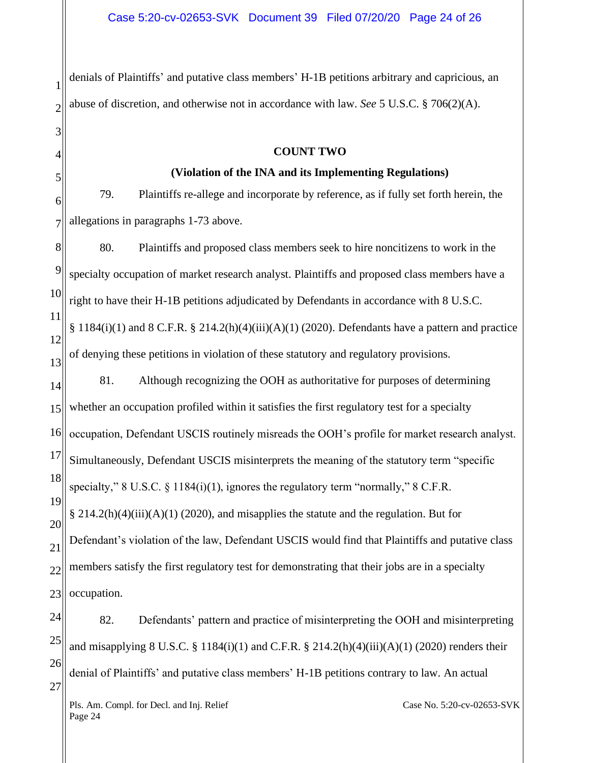1 2 denials of Plaintiffs' and putative class members' H-1B petitions arbitrary and capricious, an abuse of discretion, and otherwise not in accordance with law. *See* 5 U.S.C. § 706(2)(A).

#### **COUNT TWO**

#### **(Violation of the INA and its Implementing Regulations)**

6 7 79. Plaintiffs re-allege and incorporate by reference, as if fully set forth herein, the allegations in paragraphs 1-73 above.

8 9 10 11 12 13 14 15 16 17 18 19 20 21 22 23 80. Plaintiffs and proposed class members seek to hire noncitizens to work in the specialty occupation of market research analyst. Plaintiffs and proposed class members have a right to have their H-1B petitions adjudicated by Defendants in accordance with 8 U.S.C.  $§$  1184(i)(1) and 8 C.F.R.  $§$  214.2(h)(4)(iii)(A)(1) (2020). Defendants have a pattern and practice of denying these petitions in violation of these statutory and regulatory provisions. 81. Although recognizing the OOH as authoritative for purposes of determining whether an occupation profiled within it satisfies the first regulatory test for a specialty occupation, Defendant USCIS routinely misreads the OOH's profile for market research analyst. Simultaneously, Defendant USCIS misinterprets the meaning of the statutory term "specific specialty," 8 U.S.C. § 1184(i)(1), ignores the regulatory term "normally," 8 C.F.R. § 214.2(h)(4)(iii)(A)(1) (2020), and misapplies the statute and the regulation. But for Defendant's violation of the law, Defendant USCIS would find that Plaintiffs and putative class members satisfy the first regulatory test for demonstrating that their jobs are in a specialty occupation.

24 25 26 27 82. Defendants' pattern and practice of misinterpreting the OOH and misinterpreting and misapplying 8 U.S.C. § 1184(i)(1) and C.F.R. § 214.2(h)(4)(iii)(A)(1) (2020) renders their denial of Plaintiffs' and putative class members' H-1B petitions contrary to law. An actual

Pls. Am. Compl. for Decl. and Inj. Relief Page 24

3

4

5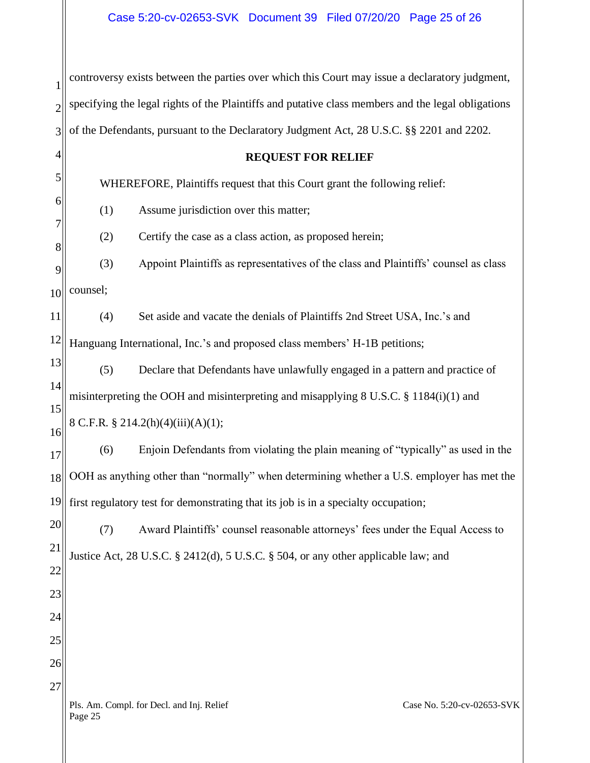| 1              | controversy exists between the parties over which this Court may issue a declaratory judgment,     |  |  |
|----------------|----------------------------------------------------------------------------------------------------|--|--|
| $\overline{c}$ | specifying the legal rights of the Plaintiffs and putative class members and the legal obligations |  |  |
| 3              | of the Defendants, pursuant to the Declaratory Judgment Act, 28 U.S.C. §§ 2201 and 2202.           |  |  |
| 4              | <b>REQUEST FOR RELIEF</b>                                                                          |  |  |
| 5              | WHEREFORE, Plaintiffs request that this Court grant the following relief:                          |  |  |
| 6              | (1)<br>Assume jurisdiction over this matter;                                                       |  |  |
|                | Certify the case as a class action, as proposed herein;<br>(2)                                     |  |  |
| 8<br>9         | (3)<br>Appoint Plaintiffs as representatives of the class and Plaintiffs' counsel as class         |  |  |
| 10             | counsel;                                                                                           |  |  |
| 11             | (4)<br>Set aside and vacate the denials of Plaintiffs 2nd Street USA, Inc.'s and                   |  |  |
| 12             | Hanguang International, Inc.'s and proposed class members' H-1B petitions;                         |  |  |
| 13             | (5)<br>Declare that Defendants have unlawfully engaged in a pattern and practice of                |  |  |
| 14             | misinterpreting the OOH and misinterpreting and misapplying 8 U.S.C. § 1184(i)(1) and              |  |  |
| 15<br>16       | 8 C.F.R. § 214.2(h)(4)(iii)(A)(1);                                                                 |  |  |
| 17             | (6)<br>Enjoin Defendants from violating the plain meaning of "typically" as used in the            |  |  |
| 18             | OOH as anything other than "normally" when determining whether a U.S. employer has met the         |  |  |
| 19             | first regulatory test for demonstrating that its job is in a specialty occupation;                 |  |  |
| 20             | Award Plaintiffs' counsel reasonable attorneys' fees under the Equal Access to<br>(7)              |  |  |
| 21             | Justice Act, 28 U.S.C. § 2412(d), 5 U.S.C. § 504, or any other applicable law; and                 |  |  |
| 22             |                                                                                                    |  |  |
| 23<br>24       |                                                                                                    |  |  |
| 25             |                                                                                                    |  |  |
| 26             |                                                                                                    |  |  |
| 27             |                                                                                                    |  |  |
|                | Pls. Am. Compl. for Decl. and Inj. Relief<br>Case No. 5:20-cv-02653-SVK<br>Page 25                 |  |  |